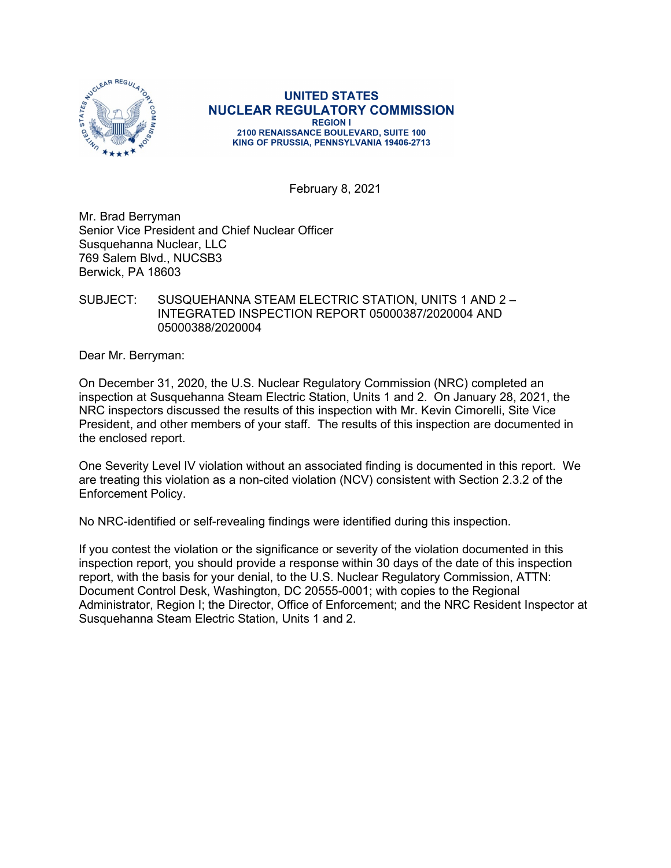

**UNITED STATES NUCLEAR REGULATORY COMMISSION REGION I** 2100 RENAISSANCE BOULEVARD, SUITE 100 KING OF PRUSSIA, PENNSYLVANIA 19406-2713

February 8, 2021

Mr. Brad Berryman Senior Vice President and Chief Nuclear Officer Susquehanna Nuclear, LLC 769 Salem Blvd., NUCSB3 Berwick, PA 18603

### SUBJECT: SUSQUEHANNA STEAM ELECTRIC STATION, UNITS 1 AND 2 – INTEGRATED INSPECTION REPORT 05000387/2020004 AND 05000388/2020004

Dear Mr. Berryman:

On December 31, 2020, the U.S. Nuclear Regulatory Commission (NRC) completed an inspection at Susquehanna Steam Electric Station, Units 1 and 2. On January 28, 2021, the NRC inspectors discussed the results of this inspection with Mr. Kevin Cimorelli, Site Vice President, and other members of your staff. The results of this inspection are documented in the enclosed report.

One Severity Level IV violation without an associated finding is documented in this report. We are treating this violation as a non-cited violation (NCV) consistent with Section 2.3.2 of the Enforcement Policy.

No NRC-identified or self-revealing findings were identified during this inspection.

If you contest the violation or the significance or severity of the violation documented in this inspection report, you should provide a response within 30 days of the date of this inspection report, with the basis for your denial, to the U.S. Nuclear Regulatory Commission, ATTN: Document Control Desk, Washington, DC 20555-0001; with copies to the Regional Administrator, Region I; the Director, Office of Enforcement; and the NRC Resident Inspector at Susquehanna Steam Electric Station, Units 1 and 2.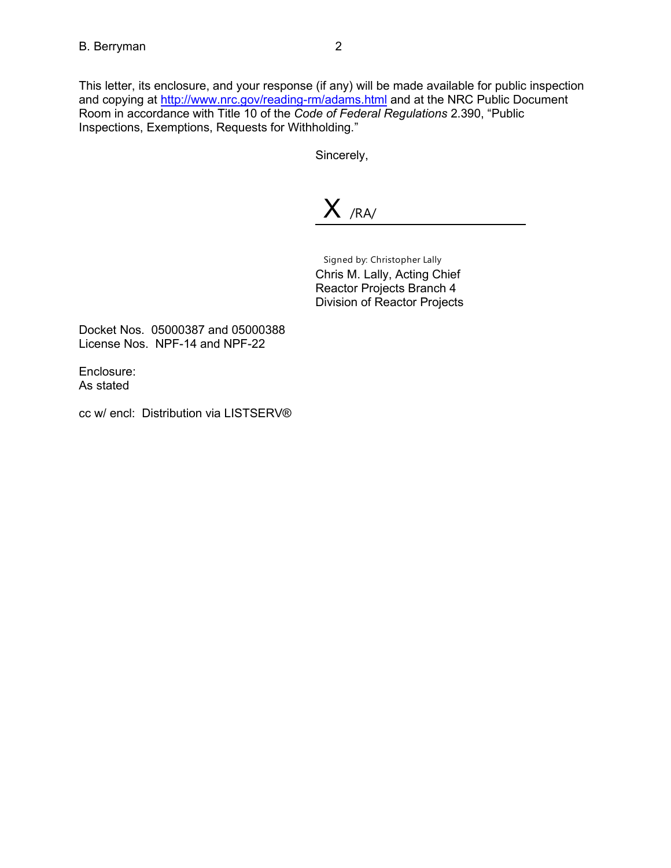This letter, its enclosure, and your response (if any) will be made available for public inspection and copying at http://www.nrc.gov/reading-rm/adams.html and at the NRC Public Document Room in accordance with Title 10 of the *Code of Federal Regulations* 2.390, "Public Inspections, Exemptions, Requests for Withholding."

Sincerely,

X /RA/

Signed by: Christopher Lally Chris M. Lally, Acting Chief Reactor Projects Branch 4 Division of Reactor Projects

Docket Nos. 05000387 and 05000388 License Nos. NPF-14 and NPF-22

Enclosure: As stated

cc w/ encl: Distribution via LISTSERV®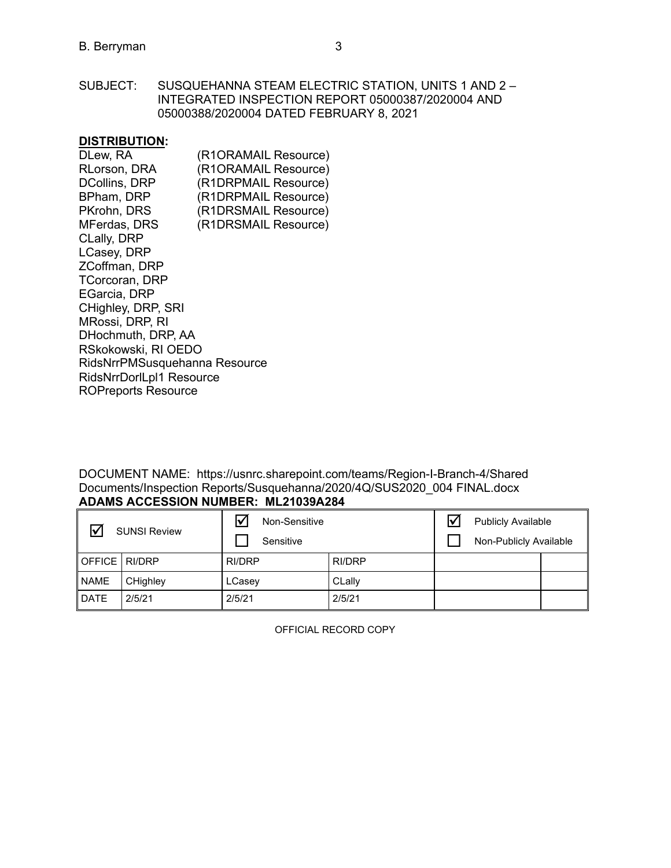SUBJECT: SUSQUEHANNA STEAM ELECTRIC STATION, UNITS 1 AND 2 – INTEGRATED INSPECTION REPORT 05000387/2020004 AND 05000388/2020004 DATED FEBRUARY 8, 2021

### **DISTRIBUTION:**

| DLew, RA                      | (R1ORAMAIL Resource) |  |  |  |
|-------------------------------|----------------------|--|--|--|
| <b>RLorson, DRA</b>           | (R1ORAMAIL Resource) |  |  |  |
| <b>DCollins, DRP</b>          | (R1DRPMAIL Resource) |  |  |  |
| BPham, DRP                    | (R1DRPMAIL Resource) |  |  |  |
| PKrohn, DRS                   | (R1DRSMAIL Resource) |  |  |  |
| <b>MFerdas, DRS</b>           | (R1DRSMAIL Resource) |  |  |  |
| CLally, DRP                   |                      |  |  |  |
| LCasey, DRP                   |                      |  |  |  |
| ZCoffman, DRP                 |                      |  |  |  |
| <b>TCorcoran, DRP</b>         |                      |  |  |  |
| EGarcia, DRP                  |                      |  |  |  |
| CHighley, DRP, SRI            |                      |  |  |  |
| MRossi, DRP, RI               |                      |  |  |  |
| DHochmuth, DRP, AA            |                      |  |  |  |
| RSkokowski, RI OEDO           |                      |  |  |  |
| RidsNrrPMSusquehanna Resource |                      |  |  |  |
| RidsNrrDorlLpl1 Resource      |                      |  |  |  |
| <b>ROPreports Resource</b>    |                      |  |  |  |
|                               |                      |  |  |  |

DOCUMENT NAME: https://usnrc.sharepoint.com/teams/Region-I-Branch-4/Shared Documents/Inspection Reports/Susquehanna/2020/4Q/SUS2020\_004 FINAL.docx **ADAMS ACCESSION NUMBER: ML21039A284**

| ∇               | <b>SUNSI Review</b> | Non-Sensitive<br>Sensitive |        | l۷ | <b>Publicly Available</b><br>Non-Publicly Available |  |
|-----------------|---------------------|----------------------------|--------|----|-----------------------------------------------------|--|
| OFFICE   RI/DRP |                     | RI/DRP                     | RI/DRP |    |                                                     |  |
| I NAME          | CHighley            | LCasey                     | CLally |    |                                                     |  |
| DATE            | 2/5/21              | 2/5/21                     | 2/5/21 |    |                                                     |  |

OFFICIAL RECORD COPY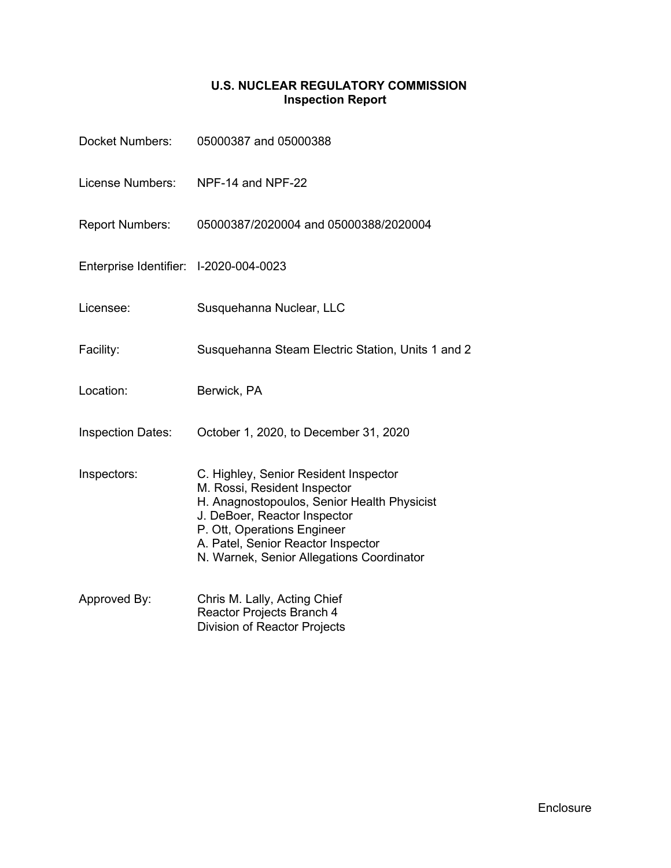# **U.S. NUCLEAR REGULATORY COMMISSION Inspection Report**

| Docket Numbers:                        | 05000387 and 05000388                                                                                                                                                                                                                                                  |
|----------------------------------------|------------------------------------------------------------------------------------------------------------------------------------------------------------------------------------------------------------------------------------------------------------------------|
| License Numbers:                       | NPF-14 and NPF-22                                                                                                                                                                                                                                                      |
| <b>Report Numbers:</b>                 | 05000387/2020004 and 05000388/2020004                                                                                                                                                                                                                                  |
| Enterprise Identifier: I-2020-004-0023 |                                                                                                                                                                                                                                                                        |
| Licensee:                              | Susquehanna Nuclear, LLC                                                                                                                                                                                                                                               |
| Facility:                              | Susquehanna Steam Electric Station, Units 1 and 2                                                                                                                                                                                                                      |
| Location:                              | Berwick, PA                                                                                                                                                                                                                                                            |
| <b>Inspection Dates:</b>               | October 1, 2020, to December 31, 2020                                                                                                                                                                                                                                  |
| Inspectors:                            | C. Highley, Senior Resident Inspector<br>M. Rossi, Resident Inspector<br>H. Anagnostopoulos, Senior Health Physicist<br>J. DeBoer, Reactor Inspector<br>P. Ott, Operations Engineer<br>A. Patel, Senior Reactor Inspector<br>N. Warnek, Senior Allegations Coordinator |
| Approved By:                           | Chris M. Lally, Acting Chief<br>Reactor Projects Branch 4<br><b>Division of Reactor Projects</b>                                                                                                                                                                       |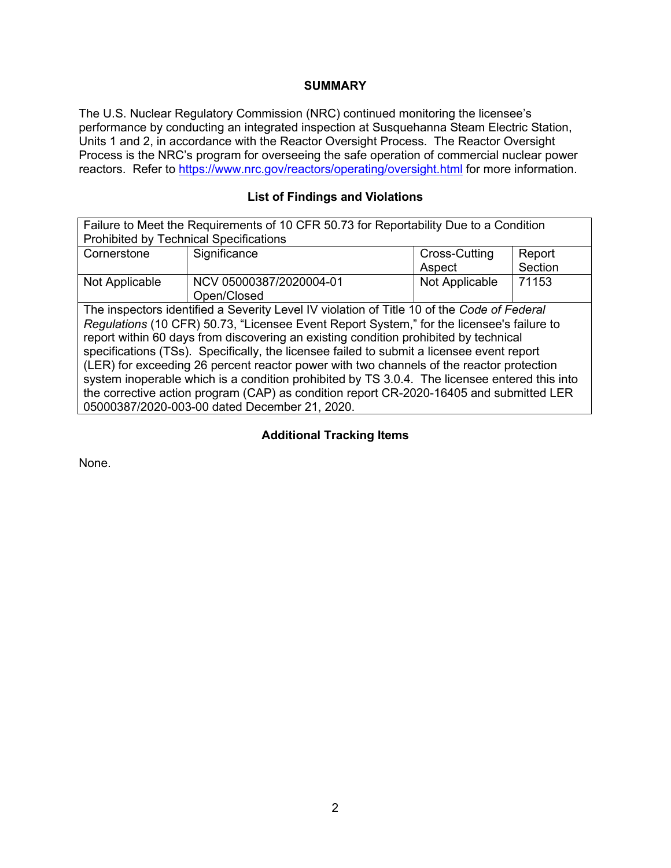### **SUMMARY**

The U.S. Nuclear Regulatory Commission (NRC) continued monitoring the licensee's performance by conducting an integrated inspection at Susquehanna Steam Electric Station, Units 1 and 2, in accordance with the Reactor Oversight Process. The Reactor Oversight Process is the NRC's program for overseeing the safe operation of commercial nuclear power reactors. Refer to<https://www.nrc.gov/reactors/operating/oversight.html> for more information.

# **List of Findings and Violations**

| Failure to Meet the Requirements of 10 CFR 50.73 for Reportability Due to a Condition         |                         |                |         |  |  |
|-----------------------------------------------------------------------------------------------|-------------------------|----------------|---------|--|--|
| <b>Prohibited by Technical Specifications</b>                                                 |                         |                |         |  |  |
| Cornerstone                                                                                   | Significance            | Cross-Cutting  | Report  |  |  |
|                                                                                               |                         | Aspect         | Section |  |  |
| Not Applicable                                                                                | NCV 05000387/2020004-01 | Not Applicable | 71153   |  |  |
|                                                                                               | Open/Closed             |                |         |  |  |
| The inspectors identified a Severity Level IV violation of Title 10 of the Code of Federal    |                         |                |         |  |  |
| Regulations (10 CFR) 50.73, "Licensee Event Report System," for the licensee's failure to     |                         |                |         |  |  |
| report within 60 days from discovering an existing condition prohibited by technical          |                         |                |         |  |  |
| specifications (TSs). Specifically, the licensee failed to submit a licensee event report     |                         |                |         |  |  |
| (LER) for exceeding 26 percent reactor power with two channels of the reactor protection      |                         |                |         |  |  |
| system inoperable which is a condition prohibited by TS 3.0.4. The licensee entered this into |                         |                |         |  |  |
| the corrective action program (CAP) as condition report CR-2020-16405 and submitted LER       |                         |                |         |  |  |
| 05000387/2020-003-00 dated December 21, 2020.                                                 |                         |                |         |  |  |

### **Additional Tracking Items**

None.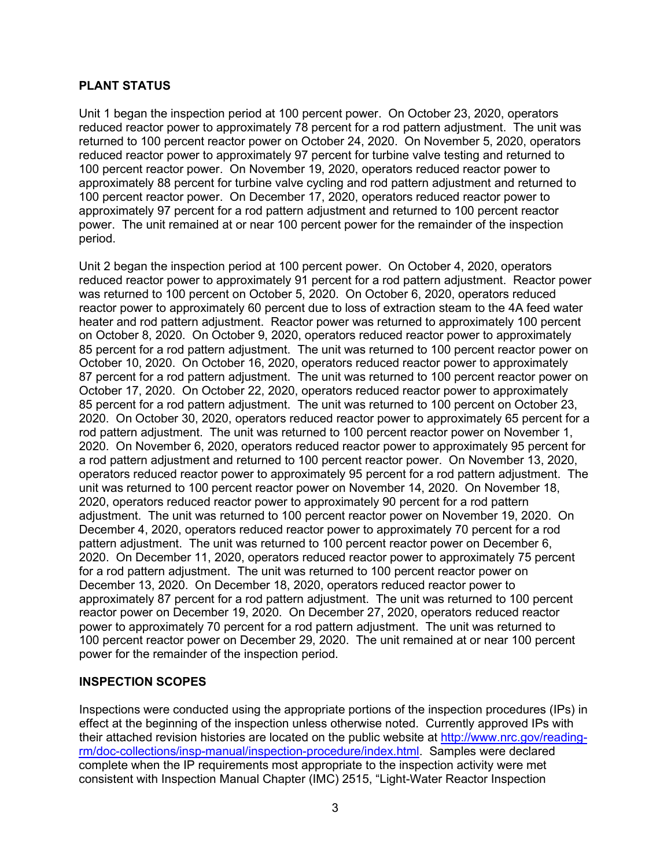### **PLANT STATUS**

Unit 1 began the inspection period at 100 percent power. On October 23, 2020, operators reduced reactor power to approximately 78 percent for a rod pattern adjustment. The unit was returned to 100 percent reactor power on October 24, 2020. On November 5, 2020, operators reduced reactor power to approximately 97 percent for turbine valve testing and returned to 100 percent reactor power. On November 19, 2020, operators reduced reactor power to approximately 88 percent for turbine valve cycling and rod pattern adjustment and returned to 100 percent reactor power. On December 17, 2020, operators reduced reactor power to approximately 97 percent for a rod pattern adjustment and returned to 100 percent reactor power. The unit remained at or near 100 percent power for the remainder of the inspection period.

Unit 2 began the inspection period at 100 percent power. On October 4, 2020, operators reduced reactor power to approximately 91 percent for a rod pattern adjustment. Reactor power was returned to 100 percent on October 5, 2020. On October 6, 2020, operators reduced reactor power to approximately 60 percent due to loss of extraction steam to the 4A feed water heater and rod pattern adjustment. Reactor power was returned to approximately 100 percent on October 8, 2020. On October 9, 2020, operators reduced reactor power to approximately 85 percent for a rod pattern adjustment. The unit was returned to 100 percent reactor power on October 10, 2020. On October 16, 2020, operators reduced reactor power to approximately 87 percent for a rod pattern adjustment. The unit was returned to 100 percent reactor power on October 17, 2020. On October 22, 2020, operators reduced reactor power to approximately 85 percent for a rod pattern adjustment. The unit was returned to 100 percent on October 23, 2020. On October 30, 2020, operators reduced reactor power to approximately 65 percent for a rod pattern adjustment. The unit was returned to 100 percent reactor power on November 1, 2020. On November 6, 2020, operators reduced reactor power to approximately 95 percent for a rod pattern adjustment and returned to 100 percent reactor power. On November 13, 2020, operators reduced reactor power to approximately 95 percent for a rod pattern adjustment. The unit was returned to 100 percent reactor power on November 14, 2020. On November 18, 2020, operators reduced reactor power to approximately 90 percent for a rod pattern adjustment. The unit was returned to 100 percent reactor power on November 19, 2020. On December 4, 2020, operators reduced reactor power to approximately 70 percent for a rod pattern adjustment. The unit was returned to 100 percent reactor power on December 6, 2020. On December 11, 2020, operators reduced reactor power to approximately 75 percent for a rod pattern adjustment. The unit was returned to 100 percent reactor power on December 13, 2020. On December 18, 2020, operators reduced reactor power to approximately 87 percent for a rod pattern adjustment. The unit was returned to 100 percent reactor power on December 19, 2020. On December 27, 2020, operators reduced reactor power to approximately 70 percent for a rod pattern adjustment. The unit was returned to 100 percent reactor power on December 29, 2020. The unit remained at or near 100 percent power for the remainder of the inspection period.

### **INSPECTION SCOPES**

Inspections were conducted using the appropriate portions of the inspection procedures (IPs) in effect at the beginning of the inspection unless otherwise noted. Currently approved IPs with their attached revision histories are located on the public website at [http://www.nrc.gov/reading](http://www.nrc.gov/reading-rm/doc-collections/insp-manual/inspection-procedure/index.html)[rm/doc-collections/insp-manual/inspection-procedure/index.html.](http://www.nrc.gov/reading-rm/doc-collections/insp-manual/inspection-procedure/index.html) Samples were declared complete when the IP requirements most appropriate to the inspection activity were met consistent with Inspection Manual Chapter (IMC) 2515, "Light-Water Reactor Inspection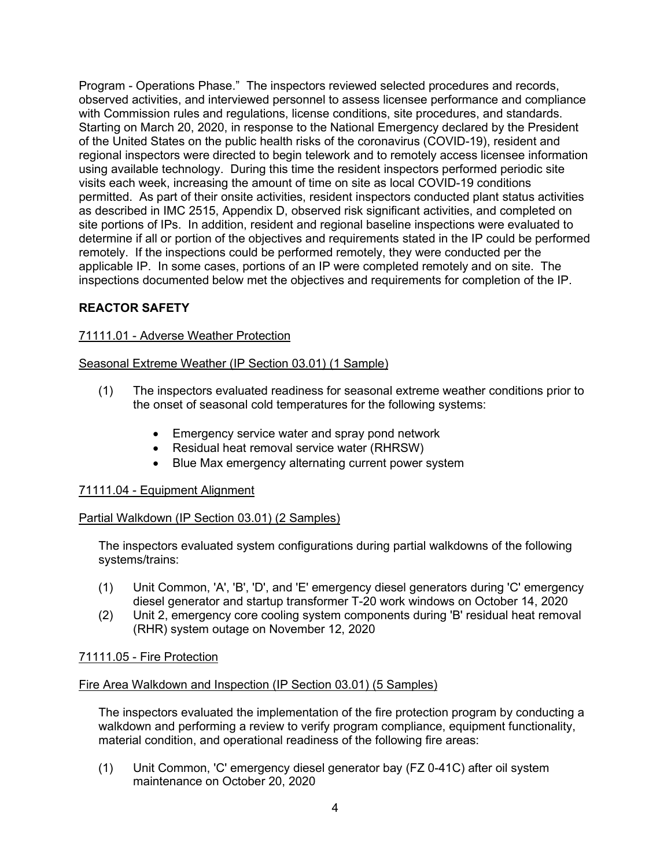Program - Operations Phase." The inspectors reviewed selected procedures and records, observed activities, and interviewed personnel to assess licensee performance and compliance with Commission rules and regulations, license conditions, site procedures, and standards. Starting on March 20, 2020, in response to the National Emergency declared by the President of the United States on the public health risks of the coronavirus (COVID-19), resident and regional inspectors were directed to begin telework and to remotely access licensee information using available technology. During this time the resident inspectors performed periodic site visits each week, increasing the amount of time on site as local COVID-19 conditions permitted. As part of their onsite activities, resident inspectors conducted plant status activities as described in IMC 2515, Appendix D, observed risk significant activities, and completed on site portions of IPs. In addition, resident and regional baseline inspections were evaluated to determine if all or portion of the objectives and requirements stated in the IP could be performed remotely. If the inspections could be performed remotely, they were conducted per the applicable IP. In some cases, portions of an IP were completed remotely and on site. The inspections documented below met the objectives and requirements for completion of the IP.

# **REACTOR SAFETY**

## 71111.01 - Adverse Weather Protection

## Seasonal Extreme Weather (IP Section 03.01) (1 Sample)

- (1) The inspectors evaluated readiness for seasonal extreme weather conditions prior to the onset of seasonal cold temperatures for the following systems:
	- Emergency service water and spray pond network
	- Residual heat removal service water (RHRSW)
	- Blue Max emergency alternating current power system

### 71111.04 - Equipment Alignment

### Partial Walkdown (IP Section 03.01) (2 Samples)

The inspectors evaluated system configurations during partial walkdowns of the following systems/trains:

- (1) Unit Common, 'A', 'B', 'D', and 'E' emergency diesel generators during 'C' emergency diesel generator and startup transformer T-20 work windows on October 14, 2020
- (2) Unit 2, emergency core cooling system components during 'B' residual heat removal (RHR) system outage on November 12, 2020

### 71111.05 - Fire Protection

# Fire Area Walkdown and Inspection (IP Section 03.01) (5 Samples)

The inspectors evaluated the implementation of the fire protection program by conducting a walkdown and performing a review to verify program compliance, equipment functionality, material condition, and operational readiness of the following fire areas:

(1) Unit Common, 'C' emergency diesel generator bay (FZ 0-41C) after oil system maintenance on October 20, 2020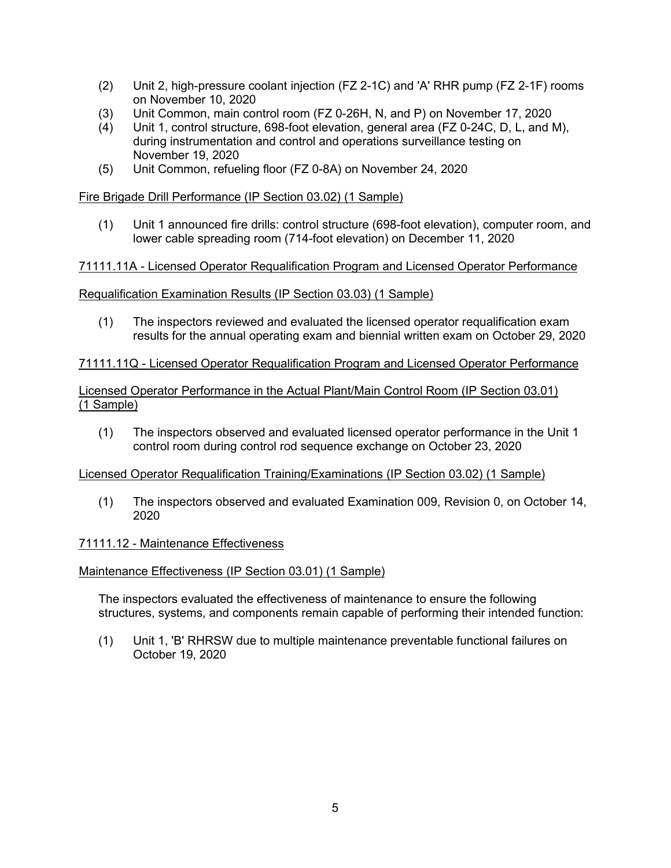- (2) Unit 2, high-pressure coolant injection (FZ 2-1C) and 'A' RHR pump (FZ 2-1F) rooms on November 10, 2020
- (3) Unit Common, main control room (FZ 0-26H, N, and P) on November 17, 2020
- Unit 1, control structure, 698-foot elevation, general area (FZ 0-24C, D, L, and M), during instrumentation and control and operations surveillance testing on November 19, 2020
- (5) Unit Common, refueling floor (FZ 0-8A) on November 24, 2020

Fire Brigade Drill Performance (IP Section 03.02) (1 Sample)

(1) Unit 1 announced fire drills: control structure (698-foot elevation), computer room, and lower cable spreading room (714-foot elevation) on December 11, 2020

### 71111.11A - Licensed Operator Requalification Program and Licensed Operator Performance

### Requalification Examination Results (IP Section 03.03) (1 Sample)

(1) The inspectors reviewed and evaluated the licensed operator requalification exam results for the annual operating exam and biennial written exam on October 29, 2020

#### 71111.11Q - Licensed Operator Requalification Program and Licensed Operator Performance

### Licensed Operator Performance in the Actual Plant/Main Control Room (IP Section 03.01) (1 Sample)

(1) The inspectors observed and evaluated licensed operator performance in the Unit 1 control room during control rod sequence exchange on October 23, 2020

#### Licensed Operator Requalification Training/Examinations (IP Section 03.02) (1 Sample)

(1) The inspectors observed and evaluated Examination 009, Revision 0, on October 14, 2020

#### 71111.12 - Maintenance Effectiveness

#### Maintenance Effectiveness (IP Section 03.01) (1 Sample)

The inspectors evaluated the effectiveness of maintenance to ensure the following structures, systems, and components remain capable of performing their intended function:

(1) Unit 1, 'B' RHRSW due to multiple maintenance preventable functional failures on October 19, 2020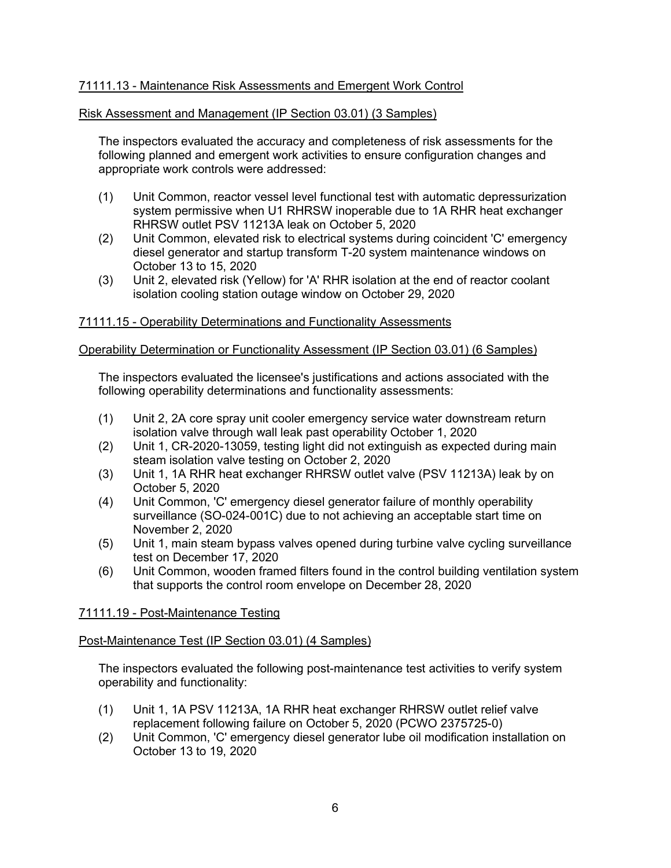# 71111.13 - Maintenance Risk Assessments and Emergent Work Control

### Risk Assessment and Management (IP Section 03.01) (3 Samples)

The inspectors evaluated the accuracy and completeness of risk assessments for the following planned and emergent work activities to ensure configuration changes and appropriate work controls were addressed:

- (1) Unit Common, reactor vessel level functional test with automatic depressurization system permissive when U1 RHRSW inoperable due to 1A RHR heat exchanger RHRSW outlet PSV 11213A leak on October 5, 2020
- (2) Unit Common, elevated risk to electrical systems during coincident 'C' emergency diesel generator and startup transform T-20 system maintenance windows on October 13 to 15, 2020
- (3) Unit 2, elevated risk (Yellow) for 'A' RHR isolation at the end of reactor coolant isolation cooling station outage window on October 29, 2020

### 71111.15 - Operability Determinations and Functionality Assessments

#### Operability Determination or Functionality Assessment (IP Section 03.01) (6 Samples)

The inspectors evaluated the licensee's justifications and actions associated with the following operability determinations and functionality assessments:

- (1) Unit 2, 2A core spray unit cooler emergency service water downstream return isolation valve through wall leak past operability October 1, 2020
- (2) Unit 1, CR-2020-13059, testing light did not extinguish as expected during main steam isolation valve testing on October 2, 2020
- (3) Unit 1, 1A RHR heat exchanger RHRSW outlet valve (PSV 11213A) leak by on October 5, 2020
- (4) Unit Common, 'C' emergency diesel generator failure of monthly operability surveillance (SO-024-001C) due to not achieving an acceptable start time on November 2, 2020
- (5) Unit 1, main steam bypass valves opened during turbine valve cycling surveillance test on December 17, 2020
- (6) Unit Common, wooden framed filters found in the control building ventilation system that supports the control room envelope on December 28, 2020

#### 71111.19 - Post-Maintenance Testing

#### Post-Maintenance Test (IP Section 03.01) (4 Samples)

The inspectors evaluated the following post-maintenance test activities to verify system operability and functionality:

- (1) Unit 1, 1A PSV 11213A, 1A RHR heat exchanger RHRSW outlet relief valve replacement following failure on October 5, 2020 (PCWO 2375725-0)
- (2) Unit Common, 'C' emergency diesel generator lube oil modification installation on October 13 to 19, 2020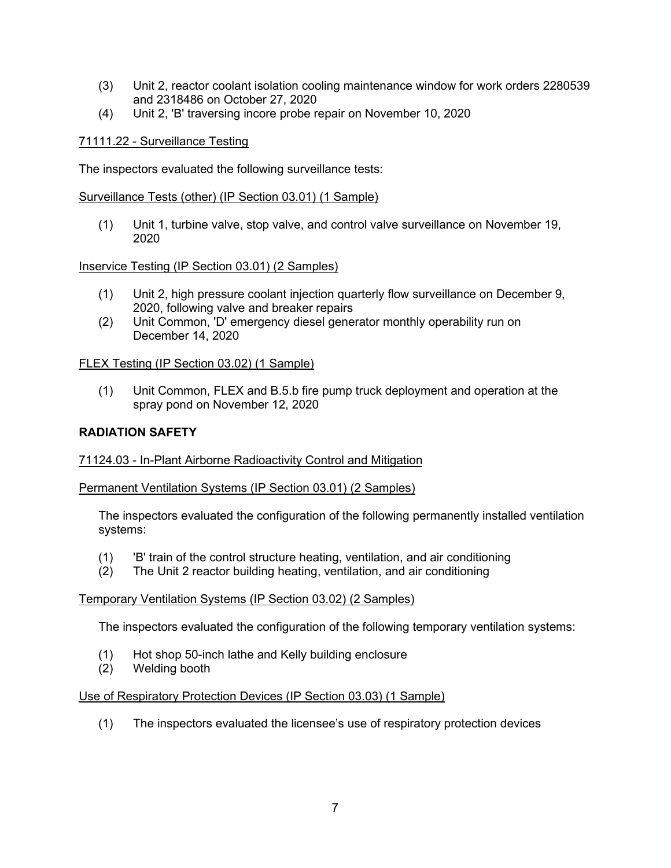- (3) Unit 2, reactor coolant isolation cooling maintenance window for work orders 2280539 and 2318486 on October 27, 2020
- (4) Unit 2, 'B' traversing incore probe repair on November 10, 2020

### 71111.22 - Surveillance Testing

The inspectors evaluated the following surveillance tests:

Surveillance Tests (other) (IP Section 03.01) (1 Sample)

(1) Unit 1, turbine valve, stop valve, and control valve surveillance on November 19, 2020

Inservice Testing (IP Section 03.01) (2 Samples)

- (1) Unit 2, high pressure coolant injection quarterly flow surveillance on December 9, 2020, following valve and breaker repairs
- (2) Unit Common, 'D' emergency diesel generator monthly operability run on December 14, 2020

### FLEX Testing (IP Section 03.02) (1 Sample)

(1) Unit Common, FLEX and B.5.b fire pump truck deployment and operation at the spray pond on November 12, 2020

### **RADIATION SAFETY**

#### 71124.03 - In-Plant Airborne Radioactivity Control and Mitigation

Permanent Ventilation Systems (IP Section 03.01) (2 Samples)

The inspectors evaluated the configuration of the following permanently installed ventilation systems:

- (1) 'B' train of the control structure heating, ventilation, and air conditioning
- (2) The Unit 2 reactor building heating, ventilation, and air conditioning

#### Temporary Ventilation Systems (IP Section 03.02) (2 Samples)

The inspectors evaluated the configuration of the following temporary ventilation systems:

- (1) Hot shop 50-inch lathe and Kelly building enclosure
- (2) Welding booth

#### Use of Respiratory Protection Devices (IP Section 03.03) (1 Sample)

(1) The inspectors evaluated the licensee's use of respiratory protection devices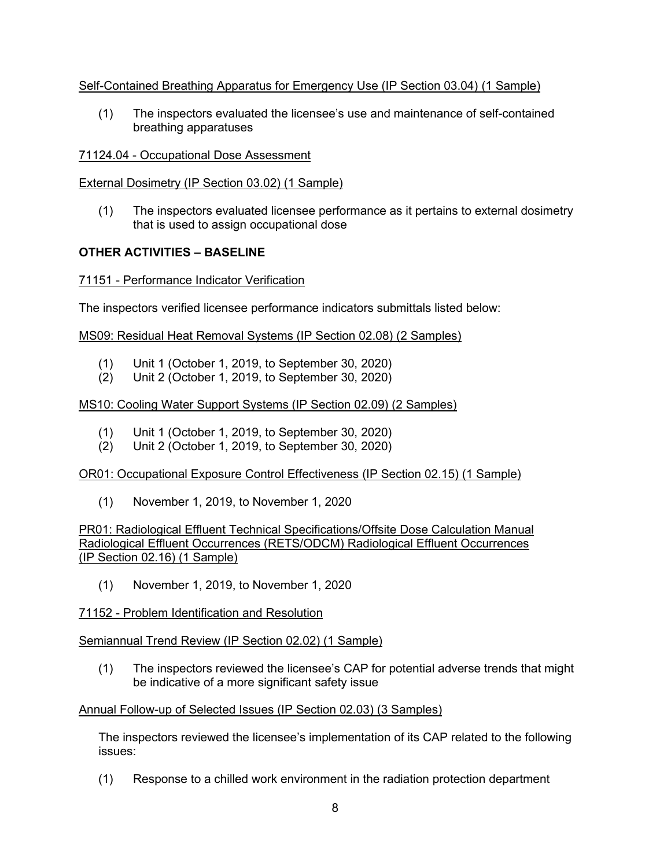### Self-Contained Breathing Apparatus for Emergency Use (IP Section 03.04) (1 Sample)

(1) The inspectors evaluated the licensee's use and maintenance of self-contained breathing apparatuses

#### 71124.04 - Occupational Dose Assessment

#### External Dosimetry (IP Section 03.02) (1 Sample)

(1) The inspectors evaluated licensee performance as it pertains to external dosimetry that is used to assign occupational dose

### **OTHER ACTIVITIES – BASELINE**

#### 71151 - Performance Indicator Verification

The inspectors verified licensee performance indicators submittals listed below:

#### MS09: Residual Heat Removal Systems (IP Section 02.08) (2 Samples)

- (1) Unit 1 (October 1, 2019, to September 30, 2020)
- (2) Unit 2 (October 1, 2019, to September 30, 2020)

### MS10: Cooling Water Support Systems (IP Section 02.09) (2 Samples)

- (1) Unit 1 (October 1, 2019, to September 30, 2020)
- (2) Unit 2 (October 1, 2019, to September 30, 2020)

### OR01: Occupational Exposure Control Effectiveness (IP Section 02.15) (1 Sample)

(1) November 1, 2019, to November 1, 2020

### PR01: Radiological Effluent Technical Specifications/Offsite Dose Calculation Manual Radiological Effluent Occurrences (RETS/ODCM) Radiological Effluent Occurrences (IP Section 02.16) (1 Sample)

(1) November 1, 2019, to November 1, 2020

### 71152 - Problem Identification and Resolution

### Semiannual Trend Review (IP Section 02.02) (1 Sample)

(1) The inspectors reviewed the licensee's CAP for potential adverse trends that might be indicative of a more significant safety issue

### Annual Follow-up of Selected Issues (IP Section 02.03) (3 Samples)

The inspectors reviewed the licensee's implementation of its CAP related to the following issues:

(1) Response to a chilled work environment in the radiation protection department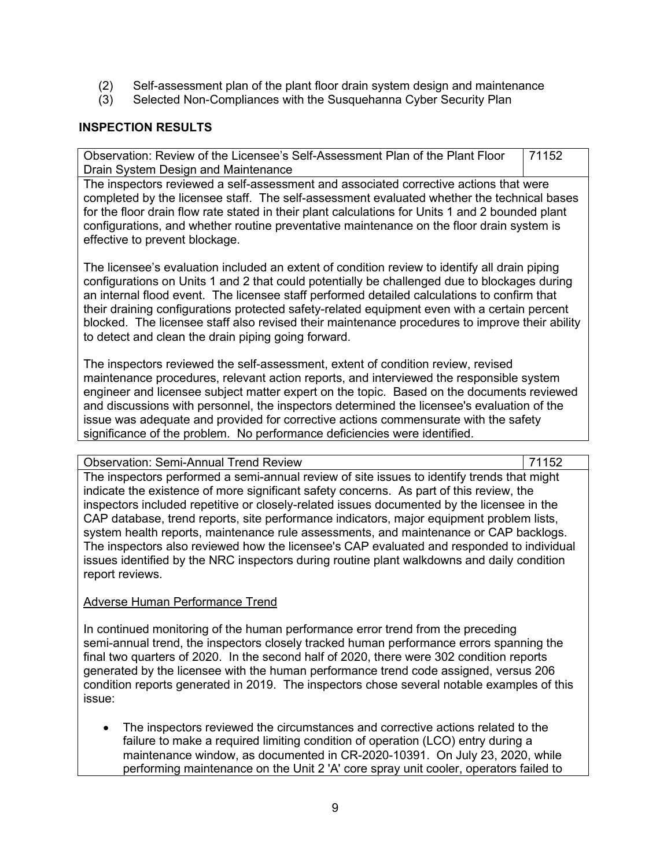- (2) Self-assessment plan of the plant floor drain system design and maintenance
- (3) Selected Non-Compliances with the Susquehanna Cyber Security Plan

## **INSPECTION RESULTS**

Observation: Review of the Licensee's Self-Assessment Plan of the Plant Floor Drain System Design and Maintenance 71152

The inspectors reviewed a self-assessment and associated corrective actions that were completed by the licensee staff. The self-assessment evaluated whether the technical bases for the floor drain flow rate stated in their plant calculations for Units 1 and 2 bounded plant configurations, and whether routine preventative maintenance on the floor drain system is effective to prevent blockage.

The licensee's evaluation included an extent of condition review to identify all drain piping configurations on Units 1 and 2 that could potentially be challenged due to blockages during an internal flood event. The licensee staff performed detailed calculations to confirm that their draining configurations protected safety-related equipment even with a certain percent blocked. The licensee staff also revised their maintenance procedures to improve their ability to detect and clean the drain piping going forward.

The inspectors reviewed the self-assessment, extent of condition review, revised maintenance procedures, relevant action reports, and interviewed the responsible system engineer and licensee subject matter expert on the topic. Based on the documents reviewed and discussions with personnel, the inspectors determined the licensee's evaluation of the issue was adequate and provided for corrective actions commensurate with the safety significance of the problem. No performance deficiencies were identified.

Observation: Semi-Annual Trend Review 71152

The inspectors performed a semi-annual review of site issues to identify trends that might indicate the existence of more significant safety concerns. As part of this review, the inspectors included repetitive or closely-related issues documented by the licensee in the CAP database, trend reports, site performance indicators, major equipment problem lists, system health reports, maintenance rule assessments, and maintenance or CAP backlogs. The inspectors also reviewed how the licensee's CAP evaluated and responded to individual issues identified by the NRC inspectors during routine plant walkdowns and daily condition report reviews.

### Adverse Human Performance Trend

In continued monitoring of the human performance error trend from the preceding semi-annual trend, the inspectors closely tracked human performance errors spanning the final two quarters of 2020. In the second half of 2020, there were 302 condition reports generated by the licensee with the human performance trend code assigned, versus 206 condition reports generated in 2019. The inspectors chose several notable examples of this issue:

• The inspectors reviewed the circumstances and corrective actions related to the failure to make a required limiting condition of operation (LCO) entry during a maintenance window, as documented in CR-2020-10391. On July 23, 2020, while performing maintenance on the Unit 2 'A' core spray unit cooler, operators failed to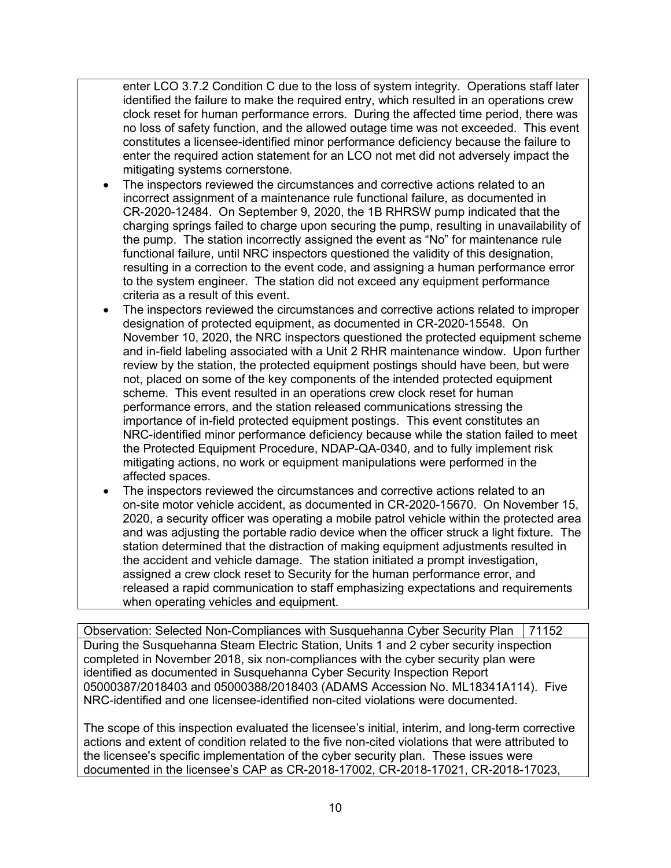enter LCO 3.7.2 Condition C due to the loss of system integrity. Operations staff later identified the failure to make the required entry, which resulted in an operations crew clock reset for human performance errors. During the affected time period, there was no loss of safety function, and the allowed outage time was not exceeded. This event constitutes a licensee-identified minor performance deficiency because the failure to enter the required action statement for an LCO not met did not adversely impact the mitigating systems cornerstone.

- The inspectors reviewed the circumstances and corrective actions related to an incorrect assignment of a maintenance rule functional failure, as documented in CR-2020-12484. On September 9, 2020, the 1B RHRSW pump indicated that the charging springs failed to charge upon securing the pump, resulting in unavailability of the pump. The station incorrectly assigned the event as "No" for maintenance rule functional failure, until NRC inspectors questioned the validity of this designation, resulting in a correction to the event code, and assigning a human performance error to the system engineer. The station did not exceed any equipment performance criteria as a result of this event.
- The inspectors reviewed the circumstances and corrective actions related to improper designation of protected equipment, as documented in CR-2020-15548. On November 10, 2020, the NRC inspectors questioned the protected equipment scheme and in-field labeling associated with a Unit 2 RHR maintenance window. Upon further review by the station, the protected equipment postings should have been, but were not, placed on some of the key components of the intended protected equipment scheme. This event resulted in an operations crew clock reset for human performance errors, and the station released communications stressing the importance of in-field protected equipment postings. This event constitutes an NRC-identified minor performance deficiency because while the station failed to meet the Protected Equipment Procedure, NDAP-QA-0340, and to fully implement risk mitigating actions, no work or equipment manipulations were performed in the affected spaces.
- The inspectors reviewed the circumstances and corrective actions related to an on-site motor vehicle accident, as documented in CR-2020-15670. On November 15, 2020, a security officer was operating a mobile patrol vehicle within the protected area and was adjusting the portable radio device when the officer struck a light fixture. The station determined that the distraction of making equipment adjustments resulted in the accident and vehicle damage. The station initiated a prompt investigation, assigned a crew clock reset to Security for the human performance error, and released a rapid communication to staff emphasizing expectations and requirements when operating vehicles and equipment.

Observation: Selected Non-Compliances with Susquehanna Cyber Security Plan | 71152 During the Susquehanna Steam Electric Station, Units 1 and 2 cyber security inspection completed in November 2018, six non-compliances with the cyber security plan were identified as documented in Susquehanna Cyber Security Inspection Report 05000387/2018403 and 05000388/2018403 (ADAMS Accession No. ML18341A114). Five NRC-identified and one licensee-identified non-cited violations were documented.

The scope of this inspection evaluated the licensee's initial, interim, and long-term corrective actions and extent of condition related to the five non-cited violations that were attributed to the licensee's specific implementation of the cyber security plan. These issues were documented in the licensee's CAP as CR-2018-17002, CR-2018-17021, CR-2018-17023,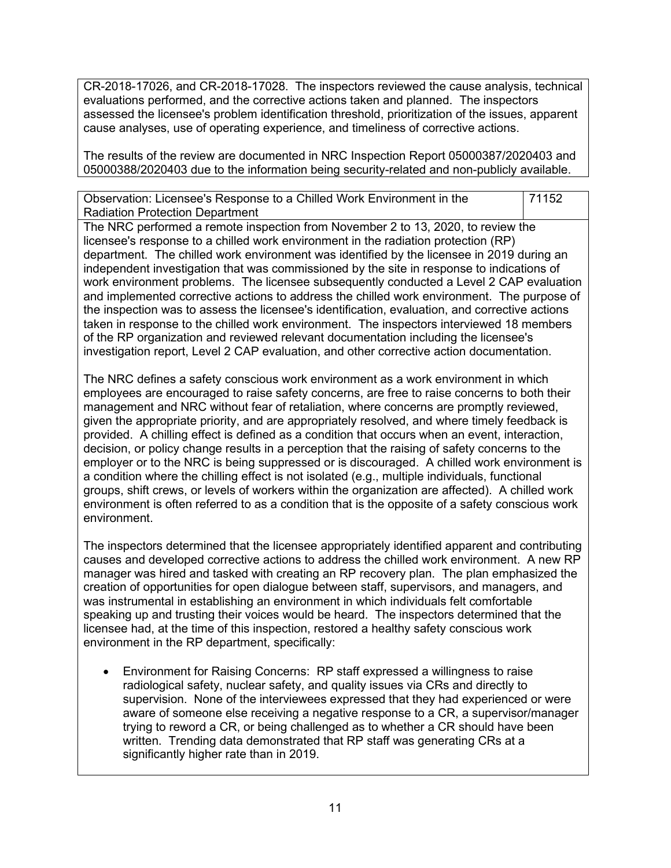CR-2018-17026, and CR-2018-17028. The inspectors reviewed the cause analysis, technical evaluations performed, and the corrective actions taken and planned. The inspectors assessed the licensee's problem identification threshold, prioritization of the issues, apparent cause analyses, use of operating experience, and timeliness of corrective actions.

The results of the review are documented in NRC Inspection Report 05000387/2020403 and 05000388/2020403 due to the information being security-related and non-publicly available.

| Observation: Licensee's Response to a Chilled Work Environment in the                          | 71152 |  |  |
|------------------------------------------------------------------------------------------------|-------|--|--|
| <b>Radiation Protection Department</b>                                                         |       |  |  |
| The NRC performed a remote inspection from November 2 to 13, 2020, to review the               |       |  |  |
| licensee's response to a chilled work environment in the radiation protection (RP)             |       |  |  |
| department. The chilled work environment was identified by the licensee in 2019 during an      |       |  |  |
| independent investigation that was commissioned by the site in response to indications of      |       |  |  |
| work environment problems. The licensee subsequently conducted a Level 2 CAP evaluation        |       |  |  |
| and implemented corrective actions to address the chilled work environment. The purpose of     |       |  |  |
| the inspection was to assess the licensee's identification, evaluation, and corrective actions |       |  |  |
| taken in response to the chilled work environment. The inspectors interviewed 18 members       |       |  |  |
| of the RP organization and reviewed relevant documentation including the licensee's            |       |  |  |
| investigation report, Level 2 CAP evaluation, and other corrective action documentation.       |       |  |  |

The NRC defines a safety conscious work environment as a work environment in which employees are encouraged to raise safety concerns, are free to raise concerns to both their management and NRC without fear of retaliation, where concerns are promptly reviewed, given the appropriate priority, and are appropriately resolved, and where timely feedback is provided. A chilling effect is defined as a condition that occurs when an event, interaction, decision, or policy change results in a perception that the raising of safety concerns to the employer or to the NRC is being suppressed or is discouraged. A chilled work environment is a condition where the chilling effect is not isolated (e.g., multiple individuals, functional groups, shift crews, or levels of workers within the organization are affected). A chilled work environment is often referred to as a condition that is the opposite of a safety conscious work environment.

The inspectors determined that the licensee appropriately identified apparent and contributing causes and developed corrective actions to address the chilled work environment. A new RP manager was hired and tasked with creating an RP recovery plan. The plan emphasized the creation of opportunities for open dialogue between staff, supervisors, and managers, and was instrumental in establishing an environment in which individuals felt comfortable speaking up and trusting their voices would be heard. The inspectors determined that the licensee had, at the time of this inspection, restored a healthy safety conscious work environment in the RP department, specifically:

• Environment for Raising Concerns: RP staff expressed a willingness to raise radiological safety, nuclear safety, and quality issues via CRs and directly to supervision. None of the interviewees expressed that they had experienced or were aware of someone else receiving a negative response to a CR, a supervisor/manager trying to reword a CR, or being challenged as to whether a CR should have been written. Trending data demonstrated that RP staff was generating CRs at a significantly higher rate than in 2019.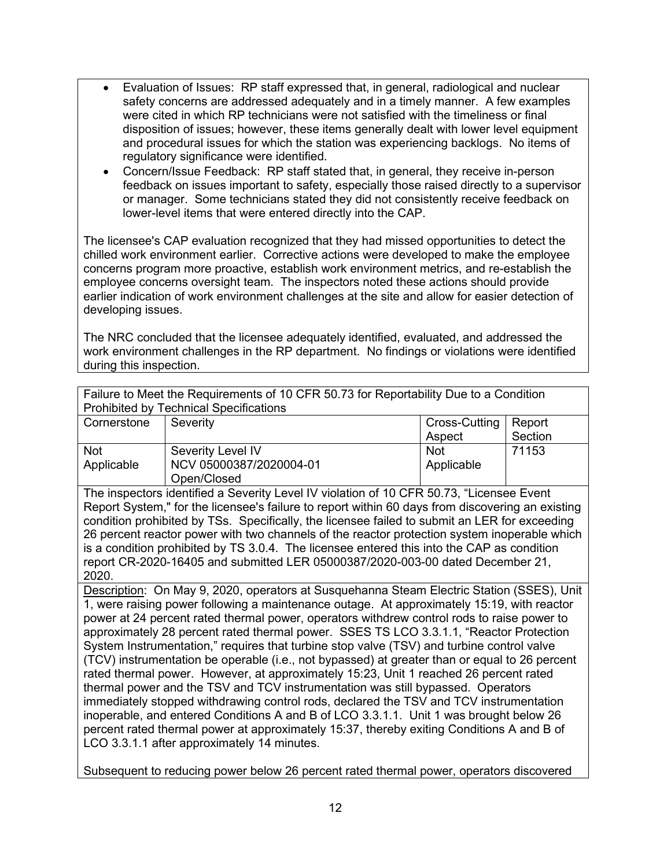- Evaluation of Issues: RP staff expressed that, in general, radiological and nuclear safety concerns are addressed adequately and in a timely manner. A few examples were cited in which RP technicians were not satisfied with the timeliness or final disposition of issues; however, these items generally dealt with lower level equipment and procedural issues for which the station was experiencing backlogs. No items of regulatory significance were identified.
- Concern/Issue Feedback: RP staff stated that, in general, they receive in-person feedback on issues important to safety, especially those raised directly to a supervisor or manager. Some technicians stated they did not consistently receive feedback on lower-level items that were entered directly into the CAP.

The licensee's CAP evaluation recognized that they had missed opportunities to detect the chilled work environment earlier. Corrective actions were developed to make the employee concerns program more proactive, establish work environment metrics, and re-establish the employee concerns oversight team. The inspectors noted these actions should provide earlier indication of work environment challenges at the site and allow for easier detection of developing issues.

The NRC concluded that the licensee adequately identified, evaluated, and addressed the work environment challenges in the RP department. No findings or violations were identified during this inspection.

| Failure to Meet the Requirements of 10 CFR 50.73 for Reportability Due to a Condition<br><b>Prohibited by Technical Specifications</b> |                                                                                                  |               |         |  |  |  |
|----------------------------------------------------------------------------------------------------------------------------------------|--------------------------------------------------------------------------------------------------|---------------|---------|--|--|--|
| Cornerstone                                                                                                                            | Severity                                                                                         | Cross-Cutting | Report  |  |  |  |
|                                                                                                                                        |                                                                                                  | Aspect        | Section |  |  |  |
| <b>Not</b>                                                                                                                             | Severity Level IV                                                                                | <b>Not</b>    | 71153   |  |  |  |
| Applicable                                                                                                                             | NCV 05000387/2020004-01                                                                          | Applicable    |         |  |  |  |
|                                                                                                                                        | Open/Closed                                                                                      |               |         |  |  |  |
|                                                                                                                                        | The inspectors identified a Severity Level IV violation of 10 CFR 50.73, "Licensee Event         |               |         |  |  |  |
|                                                                                                                                        | Report System," for the licensee's failure to report within 60 days from discovering an existing |               |         |  |  |  |
|                                                                                                                                        | condition prohibited by TSs. Specifically, the licensee failed to submit an LER for exceeding    |               |         |  |  |  |
|                                                                                                                                        | 26 percent reactor power with two channels of the reactor protection system inoperable which     |               |         |  |  |  |
|                                                                                                                                        | is a condition prohibited by TS 3.0.4. The licensee entered this into the CAP as condition       |               |         |  |  |  |
|                                                                                                                                        | report CR-2020-16405 and submitted LER 05000387/2020-003-00 dated December 21,                   |               |         |  |  |  |
| 2020.                                                                                                                                  |                                                                                                  |               |         |  |  |  |
| Description: On May 9, 2020, operators at Susquehanna Steam Electric Station (SSES), Unit                                              |                                                                                                  |               |         |  |  |  |
| 1, were raising power following a maintenance outage. At approximately 15:19, with reactor                                             |                                                                                                  |               |         |  |  |  |
| power at 24 percent rated thermal power, operators withdrew control rods to raise power to                                             |                                                                                                  |               |         |  |  |  |
| approximately 28 percent rated thermal power. SSES TS LCO 3.3.1.1, "Reactor Protection                                                 |                                                                                                  |               |         |  |  |  |
| System Instrumentation," requires that turbine stop valve (TSV) and turbine control valve                                              |                                                                                                  |               |         |  |  |  |
| (TCV) instrumentation be operable (i.e., not bypassed) at greater than or equal to 26 percent                                          |                                                                                                  |               |         |  |  |  |
| rated thermal power. However, at approximately 15:23, Unit 1 reached 26 percent rated                                                  |                                                                                                  |               |         |  |  |  |
| thermal power and the TSV and TCV instrumentation was still bypassed. Operators                                                        |                                                                                                  |               |         |  |  |  |
|                                                                                                                                        | immediately stopped withdrawing control rods, declared the TSV and TCV instrumentation           |               |         |  |  |  |
|                                                                                                                                        | inoperable, and entered Conditions A and B of LCO 3.3.1.1. Unit 1 was brought below 26           |               |         |  |  |  |
|                                                                                                                                        | percent rated thermal power at approximately 15:37, thereby exiting Conditions A and B of        |               |         |  |  |  |
|                                                                                                                                        | LCO 3.3.1.1 after approximately 14 minutes.                                                      |               |         |  |  |  |

Subsequent to reducing power below 26 percent rated thermal power, operators discovered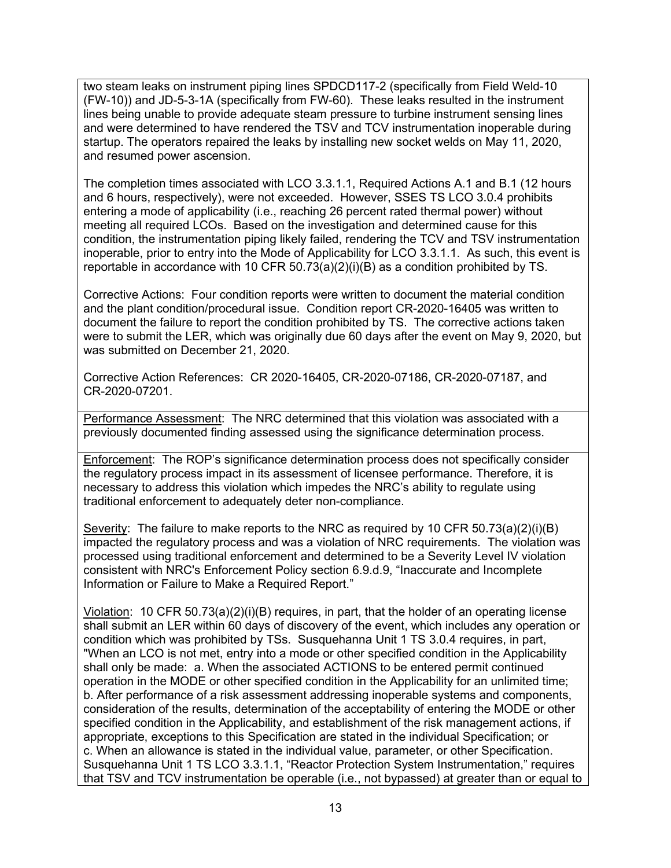two steam leaks on instrument piping lines SPDCD117-2 (specifically from Field Weld-10 (FW-10)) and JD-5-3-1A (specifically from FW-60). These leaks resulted in the instrument lines being unable to provide adequate steam pressure to turbine instrument sensing lines and were determined to have rendered the TSV and TCV instrumentation inoperable during startup. The operators repaired the leaks by installing new socket welds on May 11, 2020, and resumed power ascension.

The completion times associated with LCO 3.3.1.1, Required Actions A.1 and B.1 (12 hours and 6 hours, respectively), were not exceeded. However, SSES TS LCO 3.0.4 prohibits entering a mode of applicability (i.e., reaching 26 percent rated thermal power) without meeting all required LCOs. Based on the investigation and determined cause for this condition, the instrumentation piping likely failed, rendering the TCV and TSV instrumentation inoperable, prior to entry into the Mode of Applicability for LCO 3.3.1.1. As such, this event is reportable in accordance with 10 CFR 50.73(a)(2)(i)(B) as a condition prohibited by TS.

Corrective Actions: Four condition reports were written to document the material condition and the plant condition/procedural issue. Condition report CR-2020-16405 was written to document the failure to report the condition prohibited by TS. The corrective actions taken were to submit the LER, which was originally due 60 days after the event on May 9, 2020, but was submitted on December 21, 2020.

Corrective Action References: CR 2020-16405, CR-2020-07186, CR-2020-07187, and CR-2020-07201.

Performance Assessment: The NRC determined that this violation was associated with a previously documented finding assessed using the significance determination process.

Enforcement: The ROP's significance determination process does not specifically consider the regulatory process impact in its assessment of licensee performance. Therefore, it is necessary to address this violation which impedes the NRC's ability to regulate using traditional enforcement to adequately deter non-compliance.

Severity: The failure to make reports to the NRC as required by 10 CFR 50.73(a)(2)(i)(B) impacted the regulatory process and was a violation of NRC requirements. The violation was processed using traditional enforcement and determined to be a Severity Level IV violation consistent with NRC's Enforcement Policy section 6.9.d.9, "Inaccurate and Incomplete Information or Failure to Make a Required Report."

Violation: 10 CFR 50.73(a)(2)(i)(B) requires, in part, that the holder of an operating license shall submit an LER within 60 days of discovery of the event, which includes any operation or condition which was prohibited by TSs. Susquehanna Unit 1 TS 3.0.4 requires, in part, "When an LCO is not met, entry into a mode or other specified condition in the Applicability shall only be made: a. When the associated ACTIONS to be entered permit continued operation in the MODE or other specified condition in the Applicability for an unlimited time; b. After performance of a risk assessment addressing inoperable systems and components, consideration of the results, determination of the acceptability of entering the MODE or other specified condition in the Applicability, and establishment of the risk management actions, if appropriate, exceptions to this Specification are stated in the individual Specification; or c. When an allowance is stated in the individual value, parameter, or other Specification. Susquehanna Unit 1 TS LCO 3.3.1.1, "Reactor Protection System Instrumentation," requires that TSV and TCV instrumentation be operable (i.e., not bypassed) at greater than or equal to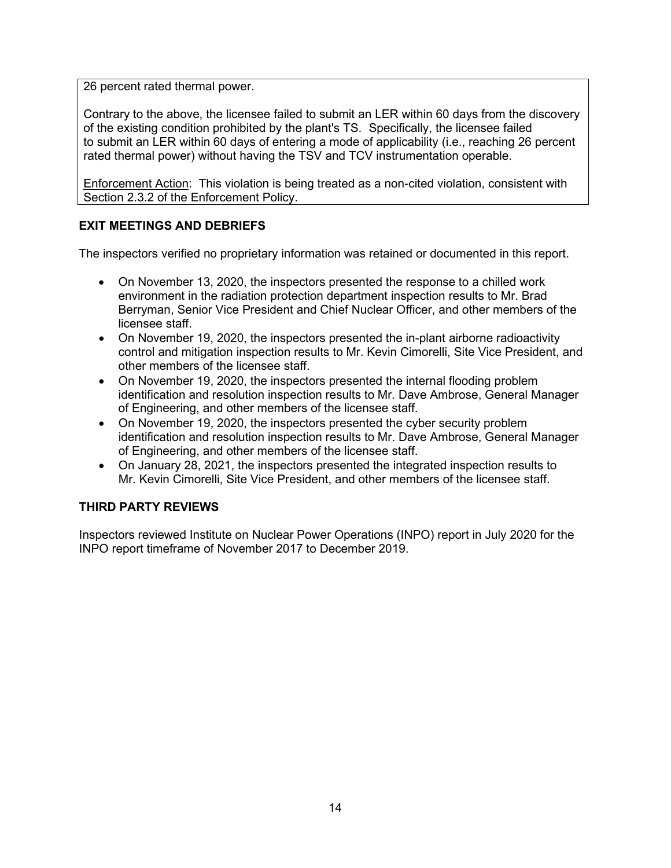26 percent rated thermal power.

Contrary to the above, the licensee failed to submit an LER within 60 days from the discovery of the existing condition prohibited by the plant's TS. Specifically, the licensee failed to submit an LER within 60 days of entering a mode of applicability (i.e., reaching 26 percent rated thermal power) without having the TSV and TCV instrumentation operable.

Enforcement Action: This violation is being treated as a non-cited violation, consistent with Section 2.3.2 of the Enforcement Policy.

## **EXIT MEETINGS AND DEBRIEFS**

The inspectors verified no proprietary information was retained or documented in this report.

- On November 13, 2020, the inspectors presented the response to a chilled work environment in the radiation protection department inspection results to Mr. Brad Berryman, Senior Vice President and Chief Nuclear Officer, and other members of the licensee staff.
- On November 19, 2020, the inspectors presented the in-plant airborne radioactivity control and mitigation inspection results to Mr. Kevin Cimorelli, Site Vice President, and other members of the licensee staff.
- On November 19, 2020, the inspectors presented the internal flooding problem identification and resolution inspection results to Mr. Dave Ambrose, General Manager of Engineering, and other members of the licensee staff.
- On November 19, 2020, the inspectors presented the cyber security problem identification and resolution inspection results to Mr. Dave Ambrose, General Manager of Engineering, and other members of the licensee staff.
- On January 28, 2021, the inspectors presented the integrated inspection results to Mr. Kevin Cimorelli, Site Vice President, and other members of the licensee staff.

### **THIRD PARTY REVIEWS**

Inspectors reviewed Institute on Nuclear Power Operations (INPO) report in July 2020 for the INPO report timeframe of November 2017 to December 2019.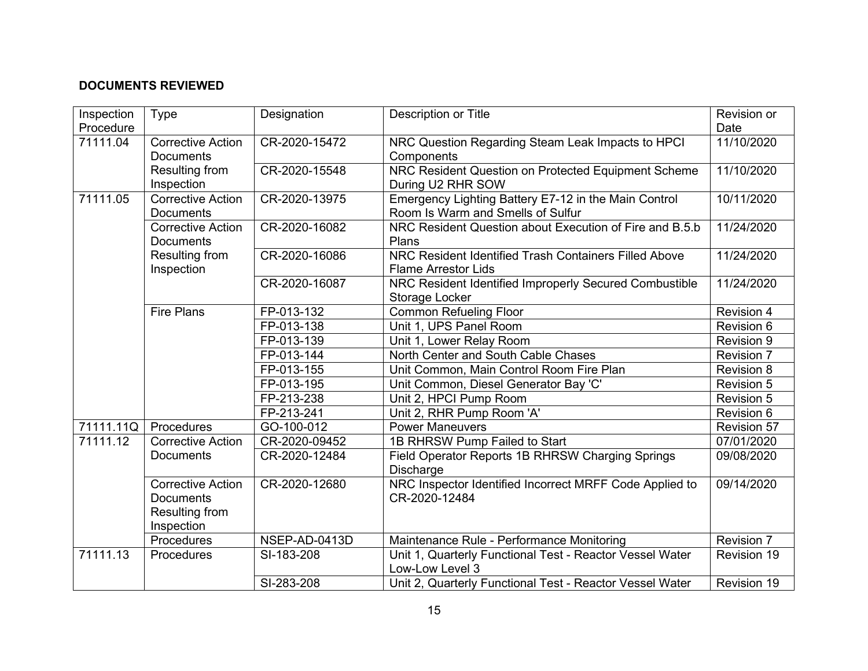# **DOCUMENTS REVIEWED**

| Inspection<br>Procedure | Type                                                                         | Designation   | Description or Title                                                                      | Revision or<br>Date |
|-------------------------|------------------------------------------------------------------------------|---------------|-------------------------------------------------------------------------------------------|---------------------|
| 71111.04                | <b>Corrective Action</b><br><b>Documents</b>                                 | CR-2020-15472 | NRC Question Regarding Steam Leak Impacts to HPCI<br>Components                           | 11/10/2020          |
|                         | Resulting from<br>Inspection                                                 | CR-2020-15548 | NRC Resident Question on Protected Equipment Scheme<br>During U2 RHR SOW                  | 11/10/2020          |
| 71111.05                | <b>Corrective Action</b><br><b>Documents</b>                                 | CR-2020-13975 | Emergency Lighting Battery E7-12 in the Main Control<br>Room Is Warm and Smells of Sulfur | 10/11/2020          |
|                         | <b>Corrective Action</b><br><b>Documents</b>                                 | CR-2020-16082 | NRC Resident Question about Execution of Fire and B.5.b<br>Plans                          | 11/24/2020          |
|                         | Resulting from<br>Inspection                                                 | CR-2020-16086 | NRC Resident Identified Trash Containers Filled Above<br><b>Flame Arrestor Lids</b>       | 11/24/2020          |
|                         |                                                                              | CR-2020-16087 | NRC Resident Identified Improperly Secured Combustible<br>Storage Locker                  | 11/24/2020          |
|                         | <b>Fire Plans</b>                                                            | FP-013-132    | <b>Common Refueling Floor</b>                                                             | Revision 4          |
|                         |                                                                              | FP-013-138    | Unit 1, UPS Panel Room                                                                    | <b>Revision 6</b>   |
|                         |                                                                              | FP-013-139    | Unit 1, Lower Relay Room                                                                  | Revision 9          |
|                         |                                                                              | FP-013-144    | North Center and South Cable Chases                                                       | Revision 7          |
|                         |                                                                              | FP-013-155    | Unit Common, Main Control Room Fire Plan                                                  | Revision 8          |
|                         |                                                                              | FP-013-195    | Unit Common, Diesel Generator Bay 'C'                                                     | <b>Revision 5</b>   |
|                         |                                                                              | FP-213-238    | Unit 2, HPCI Pump Room                                                                    | <b>Revision 5</b>   |
|                         |                                                                              | FP-213-241    | Unit 2, RHR Pump Room 'A'                                                                 | Revision 6          |
| 71111.11Q               | Procedures                                                                   | GO-100-012    | <b>Power Maneuvers</b>                                                                    | <b>Revision 57</b>  |
| 71111.12                | <b>Corrective Action</b>                                                     | CR-2020-09452 | 1B RHRSW Pump Failed to Start                                                             | 07/01/2020          |
|                         | <b>Documents</b>                                                             | CR-2020-12484 | Field Operator Reports 1B RHRSW Charging Springs<br><b>Discharge</b>                      | 09/08/2020          |
|                         | <b>Corrective Action</b><br><b>Documents</b><br>Resulting from<br>Inspection | CR-2020-12680 | NRC Inspector Identified Incorrect MRFF Code Applied to<br>CR-2020-12484                  | 09/14/2020          |
|                         | Procedures                                                                   | NSEP-AD-0413D | Maintenance Rule - Performance Monitoring                                                 | Revision 7          |
| 71111.13                | Procedures                                                                   | SI-183-208    | Unit 1, Quarterly Functional Test - Reactor Vessel Water<br>Low-Low Level 3               | Revision 19         |
|                         |                                                                              | SI-283-208    | Unit 2, Quarterly Functional Test - Reactor Vessel Water                                  | Revision 19         |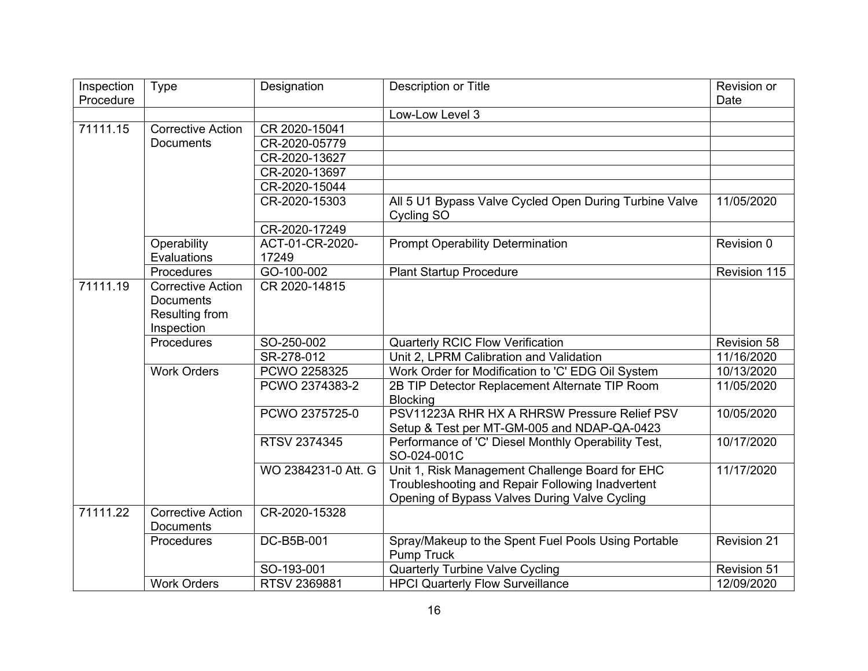| Inspection | Type                     | Designation         | Description or Title                                   | Revision or        |
|------------|--------------------------|---------------------|--------------------------------------------------------|--------------------|
| Procedure  |                          |                     |                                                        | Date               |
|            |                          |                     | Low-Low Level 3                                        |                    |
| 71111.15   | <b>Corrective Action</b> | CR 2020-15041       |                                                        |                    |
|            | <b>Documents</b>         | CR-2020-05779       |                                                        |                    |
|            |                          | CR-2020-13627       |                                                        |                    |
|            |                          | CR-2020-13697       |                                                        |                    |
|            |                          | CR-2020-15044       |                                                        |                    |
|            |                          | CR-2020-15303       | All 5 U1 Bypass Valve Cycled Open During Turbine Valve | 11/05/2020         |
|            |                          |                     | Cycling SO                                             |                    |
|            |                          | CR-2020-17249       |                                                        |                    |
|            | Operability              | ACT-01-CR-2020-     | <b>Prompt Operability Determination</b>                | Revision 0         |
|            | Evaluations              | 17249               |                                                        |                    |
|            | Procedures               | GO-100-002          | <b>Plant Startup Procedure</b>                         | Revision 115       |
| 71111.19   | <b>Corrective Action</b> | CR 2020-14815       |                                                        |                    |
|            | <b>Documents</b>         |                     |                                                        |                    |
|            | Resulting from           |                     |                                                        |                    |
|            | Inspection               |                     |                                                        |                    |
|            | <b>Procedures</b>        | SO-250-002          | <b>Quarterly RCIC Flow Verification</b>                | <b>Revision 58</b> |
|            |                          | SR-278-012          | Unit 2, LPRM Calibration and Validation                | 11/16/2020         |
|            | <b>Work Orders</b>       | PCWO 2258325        | Work Order for Modification to 'C' EDG Oil System      | 10/13/2020         |
|            |                          | PCWO 2374383-2      | 2B TIP Detector Replacement Alternate TIP Room         | 11/05/2020         |
|            |                          |                     | <b>Blocking</b>                                        |                    |
|            |                          | PCWO 2375725-0      | PSV11223A RHR HX A RHRSW Pressure Relief PSV           | 10/05/2020         |
|            |                          |                     | Setup & Test per MT-GM-005 and NDAP-QA-0423            |                    |
|            |                          | RTSV 2374345        | Performance of 'C' Diesel Monthly Operability Test,    | 10/17/2020         |
|            |                          |                     | SO-024-001C                                            |                    |
|            |                          | WO 2384231-0 Att. G | Unit 1, Risk Management Challenge Board for EHC        | 11/17/2020         |
|            |                          |                     | Troubleshooting and Repair Following Inadvertent       |                    |
|            |                          |                     | Opening of Bypass Valves During Valve Cycling          |                    |
| 71111.22   | <b>Corrective Action</b> | CR-2020-15328       |                                                        |                    |
|            | <b>Documents</b>         |                     |                                                        |                    |
|            | Procedures               | DC-B5B-001          | Spray/Makeup to the Spent Fuel Pools Using Portable    | <b>Revision 21</b> |
|            |                          |                     | <b>Pump Truck</b>                                      |                    |
|            |                          | SO-193-001          | <b>Quarterly Turbine Valve Cycling</b>                 | <b>Revision 51</b> |
|            | <b>Work Orders</b>       | RTSV 2369881        | <b>HPCI Quarterly Flow Surveillance</b>                | 12/09/2020         |